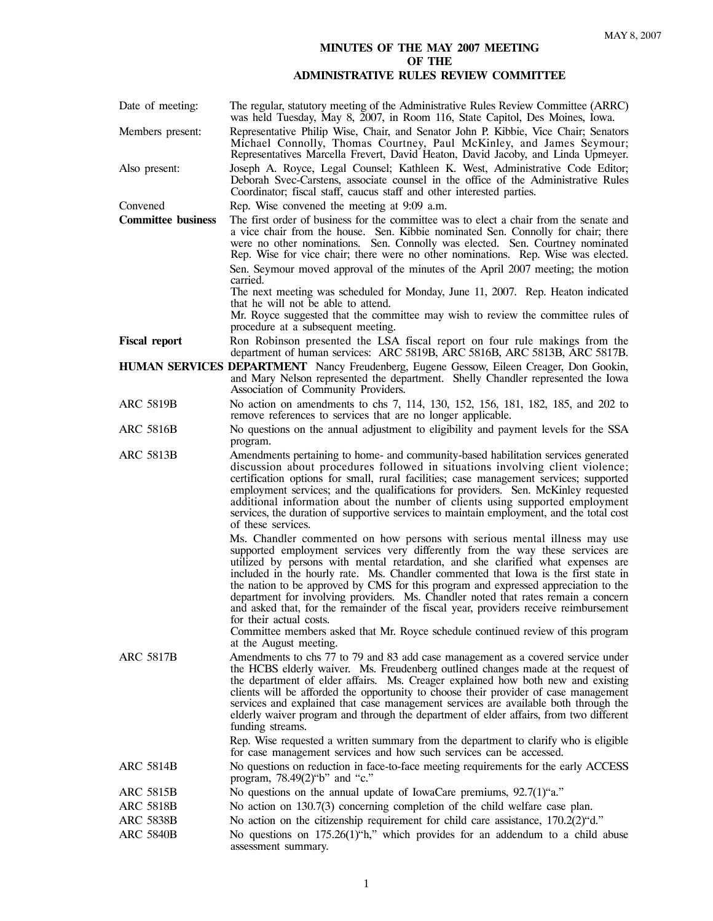## **MINUTES OF THE MAY 2007 MEETING OF THE ADMINISTRATIVE RULES REVIEW COMMITTEE**

Date of meeting: The regular, statutory meeting of the Administrative Rules Review Committee (ARRC) was held Tuesday, May 8, 2007, in Room 116, State Capitol, Des Moines, Iowa. Members present: Representative Philip Wise, Chair, and Senator John P. Kibbie, Vice Chair; Senators Michael Connolly, Thomas Courtney, Paul McKinley, and James Seymour; Representatives Marcella Frevert, David Heaton, David Jacoby, and Linda Upmeyer. Also present: Joseph A. Royce, Legal Counsel; Kathleen K. West, Administrative Code Editor; Deborah Svec-Carstens, associate counsel in the office of the Administrative Rules Coordinator; fiscal staff, caucus staff and other interested parties. Convened Rep. Wise convened the meeting at 9:09 a.m. **Committee business** The first order of business for the committee was to elect a chair from the senate and a vice chair from the house. Sen. Kibbie nominated Sen. Connolly for chair; there were no other nominations. Sen. Connolly was elected. Sen. Courtney nominated Rep. Wise for vice chair; there were no other nominations. Rep. Wise was elected. Sen. Seymour moved approval of the minutes of the April 2007 meeting; the motion carried. The next meeting was scheduled for Monday, June 11, 2007. Rep. Heaton indicated that he will not be able to attend. Mr. Royce suggested that the committee may wish to review the committee rules of procedure at a subsequent meeting. **Fiscal report** Ron Robinson presented the LSA fiscal report on four rule makings from the department of human services: ARC 5819B, ARC 5816B, ARC 5813B, ARC 5817B. **HUMAN SERVICES DEPARTMENT** Nancy Freudenberg, Eugene Gessow, Eileen Creager, Don Gookin, and Mary Nelson represented the department. Shelly Chandler represented the Iowa Association of Community Providers. ARC 5819B No action on amendments to chs 7, 114, 130, 152, 156, 181, 182, 185, and 202 to remove references to services that are no longer applicable. ARC 5816B No questions on the annual adjustment to eligibility and payment levels for the SSA program. ARC 5813B Amendments pertaining to home- and community-based habilitation services generated discussion about procedures followed in situations involving client violence; certification options for small, rural facilities; case management services; supported employment services; and the qualifications for providers. Sen. McKinley requested additional information about the number of clients using supported employment services, the duration of supportive services to maintain employment, and the total cost of these services. Ms. Chandler commented on how persons with serious mental illness may use supported employment services very differently from the way these services are utilized by persons with mental retardation, and she clarified what expenses are included in the hourly rate. Ms. Chandler commented that Iowa is the first state in the nation to be approved by CMS for this program and expressed appreciation to the department for involving providers. Ms. Chandler noted that rates remain a concern and asked that, for the remainder of the fiscal year, providers receive reimbursement for their actual costs. Committee members asked that Mr. Royce schedule continued review of this program at the August meeting. ARC 5817B Amendments to chs 77 to 79 and 83 add case management as a covered service under the HCBS elderly waiver. Ms. Freudenberg outlined changes made at the request of the department of elder affairs. Ms. Creager explained how both new and existing clients will be afforded the opportunity to choose their provider of case management services and explained that case management services are available both through the elderly waiver program and through the department of elder affairs, from two different funding streams. Rep. Wise requested a written summary from the department to clarify who is eligible for case management services and how such services can be accessed. ARC 5814B No questions on reduction in face-to-face meeting requirements for the early ACCESS program, 78.49(2)"b" and "c." ARC 5815B No questions on the annual update of IowaCare premiums,  $92.7(1)$ "a." ARC 5818B No action on 130.7(3) concerning completion of the child welfare case plan. ARC 5838B No action on the citizenship requirement for child care assistance, 170.2(2) "d." ARC 5840B No questions on 175.26(1) "h," which provides for an addendum to a child abuse assessment summary.